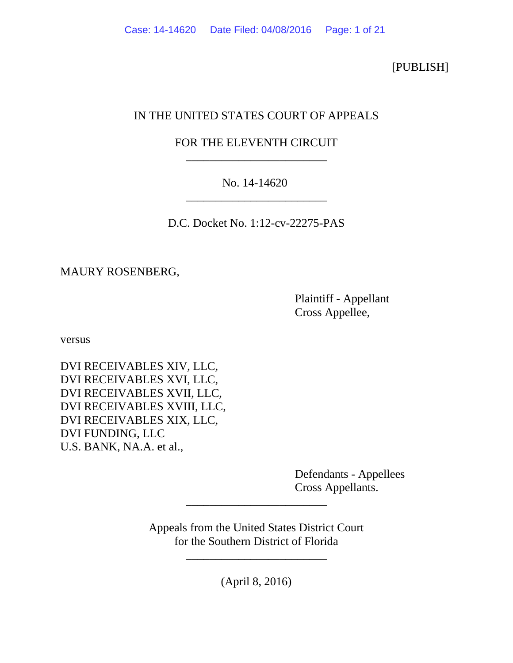[PUBLISH]

# IN THE UNITED STATES COURT OF APPEALS

## FOR THE ELEVENTH CIRCUIT \_\_\_\_\_\_\_\_\_\_\_\_\_\_\_\_\_\_\_\_\_\_\_\_

### No. 14-14620 \_\_\_\_\_\_\_\_\_\_\_\_\_\_\_\_\_\_\_\_\_\_\_\_

D.C. Docket No. 1:12-cv-22275-PAS

MAURY ROSENBERG,

 Plaintiff - Appellant Cross Appellee,

versus

DVI RECEIVABLES XIV, LLC, DVI RECEIVABLES XVI, LLC, DVI RECEIVABLES XVII, LLC, DVI RECEIVABLES XVIII, LLC, DVI RECEIVABLES XIX, LLC, DVI FUNDING, LLC U.S. BANK, NA.A. et al.,

> Defendants - Appellees Cross Appellants.

Appeals from the United States District Court for the Southern District of Florida

\_\_\_\_\_\_\_\_\_\_\_\_\_\_\_\_\_\_\_\_\_\_\_\_

(April 8, 2016)

\_\_\_\_\_\_\_\_\_\_\_\_\_\_\_\_\_\_\_\_\_\_\_\_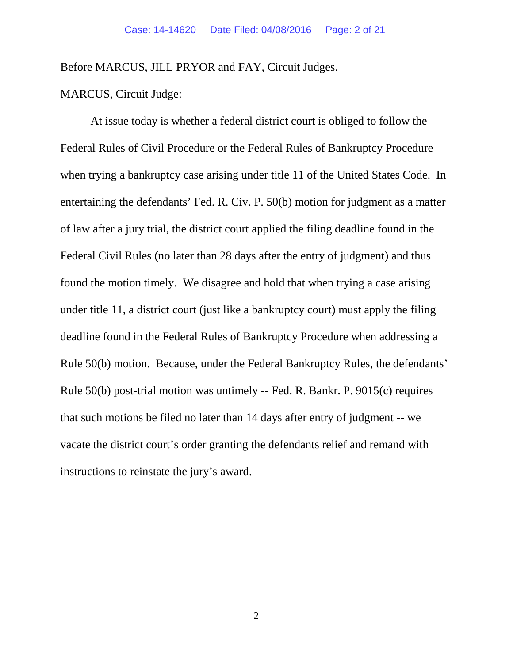Before MARCUS, JILL PRYOR and FAY, Circuit Judges.

MARCUS, Circuit Judge:

At issue today is whether a federal district court is obliged to follow the Federal Rules of Civil Procedure or the Federal Rules of Bankruptcy Procedure when trying a bankruptcy case arising under title 11 of the United States Code. In entertaining the defendants' Fed. R. Civ. P. 50(b) motion for judgment as a matter of law after a jury trial, the district court applied the filing deadline found in the Federal Civil Rules (no later than 28 days after the entry of judgment) and thus found the motion timely. We disagree and hold that when trying a case arising under title 11, a district court (just like a bankruptcy court) must apply the filing deadline found in the Federal Rules of Bankruptcy Procedure when addressing a Rule 50(b) motion. Because, under the Federal Bankruptcy Rules, the defendants' Rule 50(b) post-trial motion was untimely -- Fed. R. Bankr. P. 9015(c) requires that such motions be filed no later than 14 days after entry of judgment -- we vacate the district court's order granting the defendants relief and remand with instructions to reinstate the jury's award.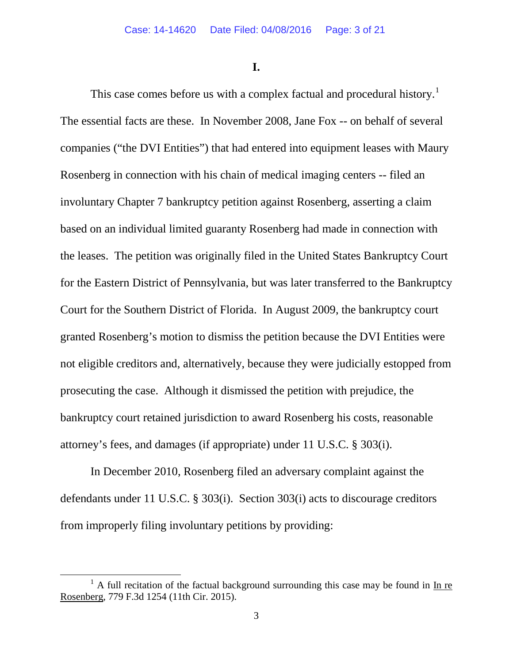**I.**

This case comes before us with a complex factual and procedural history.<sup>[1](#page-2-0)</sup> The essential facts are these. In November 2008, Jane Fox -- on behalf of several companies ("the DVI Entities") that had entered into equipment leases with Maury Rosenberg in connection with his chain of medical imaging centers -- filed an involuntary Chapter 7 bankruptcy petition against Rosenberg, asserting a claim based on an individual limited guaranty Rosenberg had made in connection with the leases. The petition was originally filed in the United States Bankruptcy Court for the Eastern District of Pennsylvania, but was later transferred to the Bankruptcy Court for the Southern District of Florida. In August 2009, the bankruptcy court granted Rosenberg's motion to dismiss the petition because the DVI Entities were not eligible creditors and, alternatively, because they were judicially estopped from prosecuting the case. Although it dismissed the petition with prejudice, the bankruptcy court retained jurisdiction to award Rosenberg his costs, reasonable attorney's fees, and damages (if appropriate) under 11 U.S.C. § 303(i).

In December 2010, Rosenberg filed an adversary complaint against the defendants under 11 U.S.C. § 303(i). Section 303(i) acts to discourage creditors from improperly filing involuntary petitions by providing:

<span id="page-2-0"></span> $1$  A full recitation of the factual background surrounding this case may be found in In re Rosenberg, 779 F.3d 1254 (11th Cir. 2015).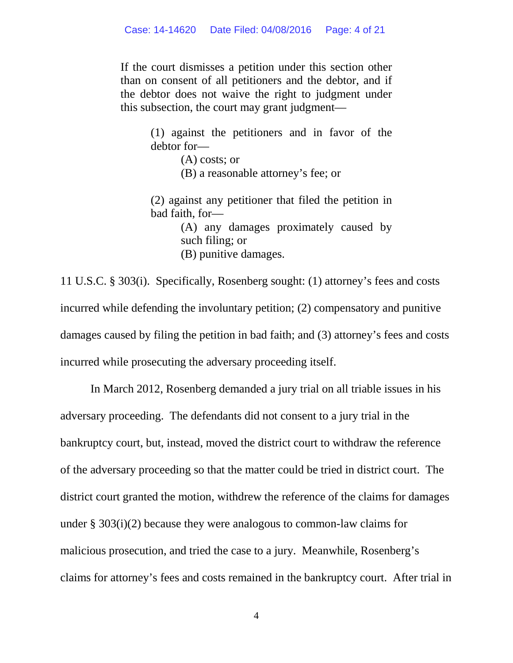If the court dismisses a petition under this section other than on consent of all petitioners and the debtor, and if the debtor does not waive the right to judgment under this subsection, the court may grant judgment—

> (1) against the petitioners and in favor of the debtor for—

> > (A) costs; or

(B) a reasonable attorney's fee; or

(2) against any petitioner that filed the petition in bad faith, for—

> (A) any damages proximately caused by such filing; or (B) punitive damages.

11 U.S.C. § 303(i). Specifically, Rosenberg sought: (1) attorney's fees and costs incurred while defending the involuntary petition; (2) compensatory and punitive damages caused by filing the petition in bad faith; and (3) attorney's fees and costs incurred while prosecuting the adversary proceeding itself.

In March 2012, Rosenberg demanded a jury trial on all triable issues in his adversary proceeding. The defendants did not consent to a jury trial in the bankruptcy court, but, instead, moved the district court to withdraw the reference of the adversary proceeding so that the matter could be tried in district court. The district court granted the motion, withdrew the reference of the claims for damages under § 303(i)(2) because they were analogous to common-law claims for malicious prosecution, and tried the case to a jury. Meanwhile, Rosenberg's claims for attorney's fees and costs remained in the bankruptcy court. After trial in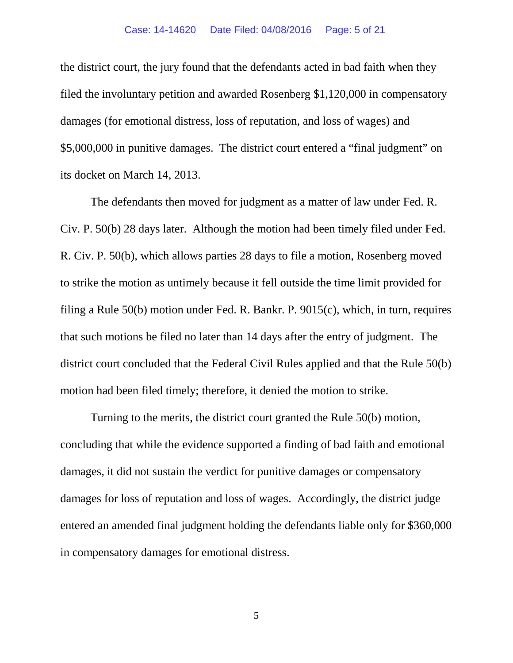the district court, the jury found that the defendants acted in bad faith when they filed the involuntary petition and awarded Rosenberg \$1,120,000 in compensatory damages (for emotional distress, loss of reputation, and loss of wages) and \$5,000,000 in punitive damages. The district court entered a "final judgment" on its docket on March 14, 2013.

The defendants then moved for judgment as a matter of law under Fed. R. Civ. P. 50(b) 28 days later. Although the motion had been timely filed under Fed. R. Civ. P. 50(b), which allows parties 28 days to file a motion, Rosenberg moved to strike the motion as untimely because it fell outside the time limit provided for filing a Rule 50(b) motion under Fed. R. Bankr. P. 9015(c), which, in turn, requires that such motions be filed no later than 14 days after the entry of judgment. The district court concluded that the Federal Civil Rules applied and that the Rule 50(b) motion had been filed timely; therefore, it denied the motion to strike.

Turning to the merits, the district court granted the Rule 50(b) motion, concluding that while the evidence supported a finding of bad faith and emotional damages, it did not sustain the verdict for punitive damages or compensatory damages for loss of reputation and loss of wages. Accordingly, the district judge entered an amended final judgment holding the defendants liable only for \$360,000 in compensatory damages for emotional distress.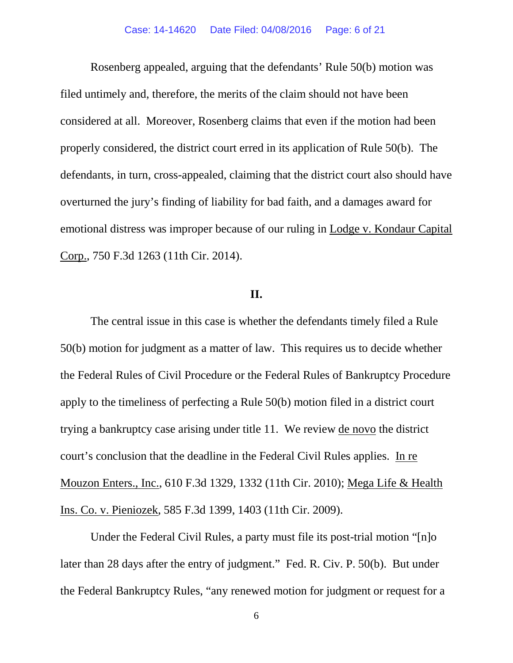Rosenberg appealed, arguing that the defendants' Rule 50(b) motion was filed untimely and, therefore, the merits of the claim should not have been considered at all. Moreover, Rosenberg claims that even if the motion had been properly considered, the district court erred in its application of Rule 50(b). The defendants, in turn, cross-appealed, claiming that the district court also should have overturned the jury's finding of liability for bad faith, and a damages award for emotional distress was improper because of our ruling in Lodge v. Kondaur Capital Corp., 750 F.3d 1263 (11th Cir. 2014).

### **II.**

The central issue in this case is whether the defendants timely filed a Rule 50(b) motion for judgment as a matter of law. This requires us to decide whether the Federal Rules of Civil Procedure or the Federal Rules of Bankruptcy Procedure apply to the timeliness of perfecting a Rule 50(b) motion filed in a district court trying a bankruptcy case arising under title 11. We review de novo the district court's conclusion that the deadline in the Federal Civil Rules applies. In re Mouzon Enters., Inc., 610 F.3d 1329, 1332 (11th Cir. 2010); Mega Life & Health Ins. Co. v. Pieniozek, 585 F.3d 1399, 1403 (11th Cir. 2009).

Under the Federal Civil Rules, a party must file its post-trial motion "[n]o later than 28 days after the entry of judgment." Fed. R. Civ. P. 50(b). But under the Federal Bankruptcy Rules, "any renewed motion for judgment or request for a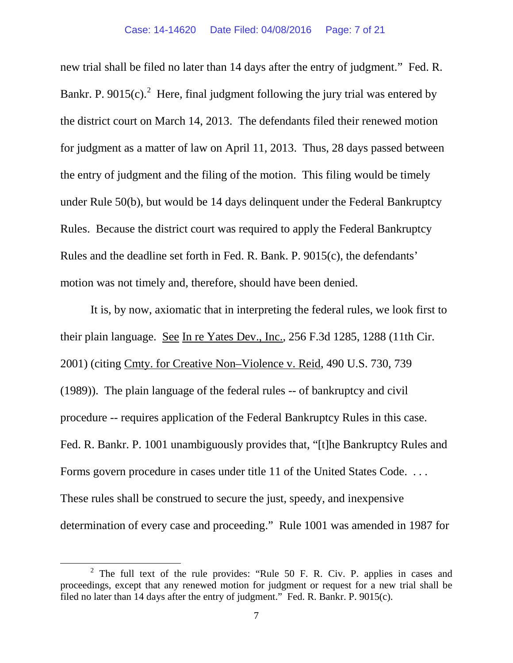new trial shall be filed no later than 14 days after the entry of judgment." Fed. R. Bankr. P. 9015(c).<sup>[2](#page-6-0)</sup> Here, final judgment following the jury trial was entered by the district court on March 14, 2013. The defendants filed their renewed motion for judgment as a matter of law on April 11, 2013. Thus, 28 days passed between the entry of judgment and the filing of the motion. This filing would be timely under Rule 50(b), but would be 14 days delinquent under the Federal Bankruptcy Rules. Because the district court was required to apply the Federal Bankruptcy Rules and the deadline set forth in Fed. R. Bank. P. 9015(c), the defendants' motion was not timely and, therefore, should have been denied.

It is, by now, axiomatic that in interpreting the federal rules, we look first to their plain language. See In re Yates Dev., Inc., 256 F.3d 1285, 1288 (11th Cir. 2001) (citing Cmty. for Creative Non–Violence v. Reid, 490 U.S. 730, 739 (1989)). The plain language of the federal rules -- of bankruptcy and civil procedure -- requires application of the Federal Bankruptcy Rules in this case. Fed. R. Bankr. P. 1001 unambiguously provides that, "[t]he Bankruptcy Rules and Forms govern procedure in cases under title 11 of the United States Code. . . . These rules shall be construed to secure the just, speedy, and inexpensive determination of every case and proceeding." Rule 1001 was amended in 1987 for

<span id="page-6-0"></span> $2$  The full text of the rule provides: "Rule 50 F. R. Civ. P. applies in cases and proceedings, except that any renewed motion for judgment or request for a new trial shall be filed no later than 14 days after the entry of judgment." Fed. R. Bankr. P. 9015(c).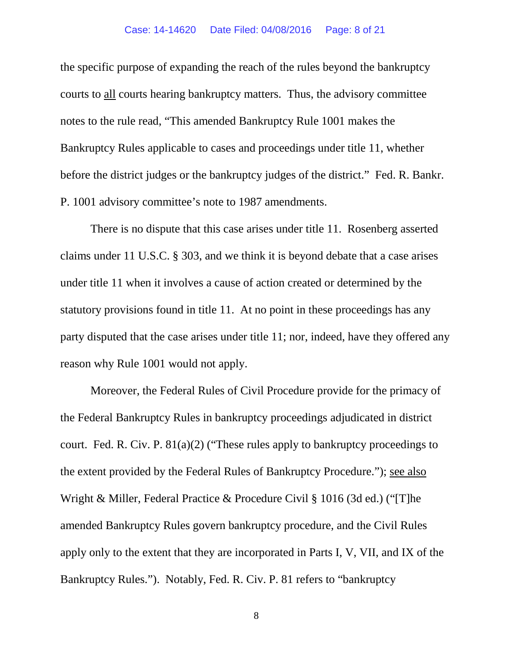the specific purpose of expanding the reach of the rules beyond the bankruptcy courts to all courts hearing bankruptcy matters. Thus, the advisory committee notes to the rule read, "This amended Bankruptcy Rule 1001 makes the Bankruptcy Rules applicable to cases and proceedings under title 11, whether before the district judges or the bankruptcy judges of the district." Fed. R. Bankr. P. 1001 advisory committee's note to 1987 amendments.

There is no dispute that this case arises under title 11. Rosenberg asserted claims under 11 U.S.C. § 303, and we think it is beyond debate that a case arises under title 11 when it involves a cause of action created or determined by the statutory provisions found in title 11. At no point in these proceedings has any party disputed that the case arises under title 11; nor, indeed, have they offered any reason why Rule 1001 would not apply.

Moreover, the Federal Rules of Civil Procedure provide for the primacy of the Federal Bankruptcy Rules in bankruptcy proceedings adjudicated in district court. Fed. R. Civ. P. 81(a)(2) ("These rules apply to bankruptcy proceedings to the extent provided by the Federal Rules of Bankruptcy Procedure."); see also Wright & Miller, Federal Practice & Procedure Civil § 1016 (3d ed.) ("[T]he amended Bankruptcy Rules govern bankruptcy procedure, and the Civil Rules apply only to the extent that they are incorporated in Parts I, V, VII, and IX of the Bankruptcy Rules."). Notably, Fed. R. Civ. P. 81 refers to "bankruptcy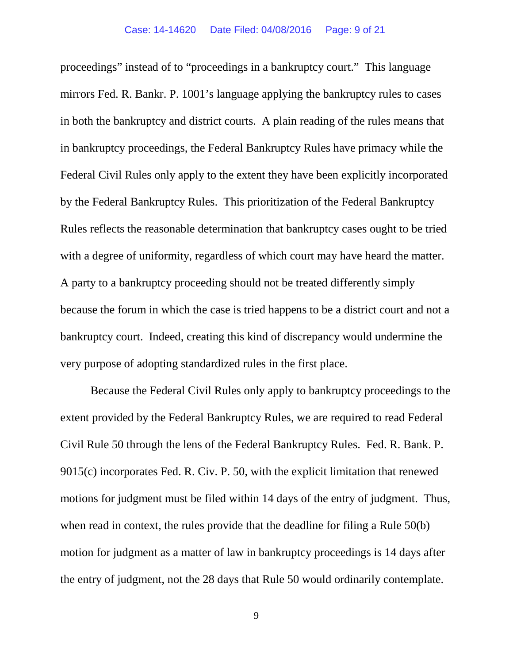proceedings" instead of to "proceedings in a bankruptcy court." This language mirrors Fed. R. Bankr. P. 1001's language applying the bankruptcy rules to cases in both the bankruptcy and district courts. A plain reading of the rules means that in bankruptcy proceedings, the Federal Bankruptcy Rules have primacy while the Federal Civil Rules only apply to the extent they have been explicitly incorporated by the Federal Bankruptcy Rules. This prioritization of the Federal Bankruptcy Rules reflects the reasonable determination that bankruptcy cases ought to be tried with a degree of uniformity, regardless of which court may have heard the matter. A party to a bankruptcy proceeding should not be treated differently simply because the forum in which the case is tried happens to be a district court and not a bankruptcy court. Indeed, creating this kind of discrepancy would undermine the very purpose of adopting standardized rules in the first place.

Because the Federal Civil Rules only apply to bankruptcy proceedings to the extent provided by the Federal Bankruptcy Rules, we are required to read Federal Civil Rule 50 through the lens of the Federal Bankruptcy Rules. Fed. R. Bank. P. 9015(c) incorporates Fed. R. Civ. P. 50, with the explicit limitation that renewed motions for judgment must be filed within 14 days of the entry of judgment. Thus, when read in context, the rules provide that the deadline for filing a Rule 50(b) motion for judgment as a matter of law in bankruptcy proceedings is 14 days after the entry of judgment, not the 28 days that Rule 50 would ordinarily contemplate.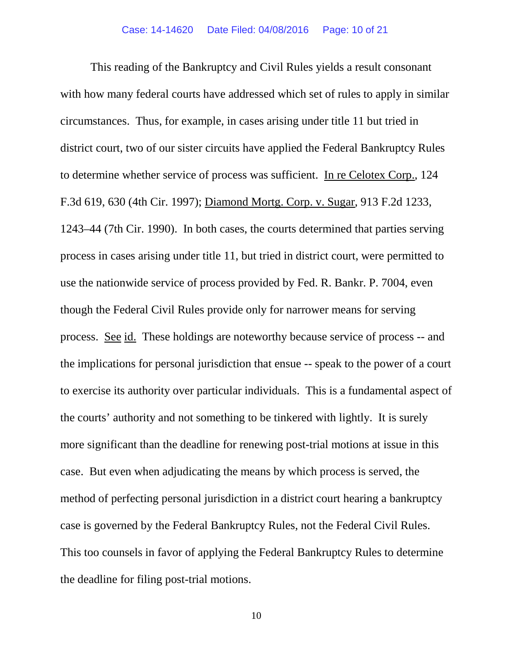This reading of the Bankruptcy and Civil Rules yields a result consonant with how many federal courts have addressed which set of rules to apply in similar circumstances. Thus, for example, in cases arising under title 11 but tried in district court, two of our sister circuits have applied the Federal Bankruptcy Rules to determine whether service of process was sufficient. In re Celotex Corp., 124 F.3d 619, 630 (4th Cir. 1997); Diamond Mortg. Corp. v. Sugar, 913 F.2d 1233, 1243–44 (7th Cir. 1990). In both cases, the courts determined that parties serving process in cases arising under title 11, but tried in district court, were permitted to use the nationwide service of process provided by Fed. R. Bankr. P. 7004, even though the Federal Civil Rules provide only for narrower means for serving process. See id. These holdings are noteworthy because service of process -- and the implications for personal jurisdiction that ensue -- speak to the power of a court to exercise its authority over particular individuals. This is a fundamental aspect of the courts' authority and not something to be tinkered with lightly. It is surely more significant than the deadline for renewing post-trial motions at issue in this case. But even when adjudicating the means by which process is served, the method of perfecting personal jurisdiction in a district court hearing a bankruptcy case is governed by the Federal Bankruptcy Rules, not the Federal Civil Rules. This too counsels in favor of applying the Federal Bankruptcy Rules to determine the deadline for filing post-trial motions.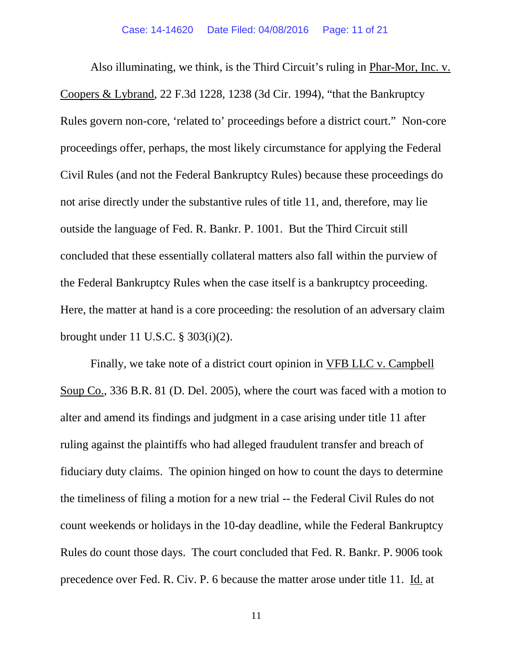Also illuminating, we think, is the Third Circuit's ruling in Phar-Mor, Inc. v. Coopers & Lybrand, 22 F.3d 1228, 1238 (3d Cir. 1994), "that the Bankruptcy Rules govern non-core, 'related to' proceedings before a district court." Non-core proceedings offer, perhaps, the most likely circumstance for applying the Federal Civil Rules (and not the Federal Bankruptcy Rules) because these proceedings do not arise directly under the substantive rules of title 11, and, therefore, may lie outside the language of Fed. R. Bankr. P. 1001. But the Third Circuit still concluded that these essentially collateral matters also fall within the purview of the Federal Bankruptcy Rules when the case itself is a bankruptcy proceeding. Here, the matter at hand is a core proceeding: the resolution of an adversary claim brought under 11 U.S.C. § 303(i)(2).

Finally, we take note of a district court opinion in VFB LLC v. Campbell Soup Co., 336 B.R. 81 (D. Del. 2005), where the court was faced with a motion to alter and amend its findings and judgment in a case arising under title 11 after ruling against the plaintiffs who had alleged fraudulent transfer and breach of fiduciary duty claims. The opinion hinged on how to count the days to determine the timeliness of filing a motion for a new trial -- the Federal Civil Rules do not count weekends or holidays in the 10-day deadline, while the Federal Bankruptcy Rules do count those days. The court concluded that Fed. R. Bankr. P. 9006 took precedence over Fed. R. Civ. P. 6 because the matter arose under title 11. Id. at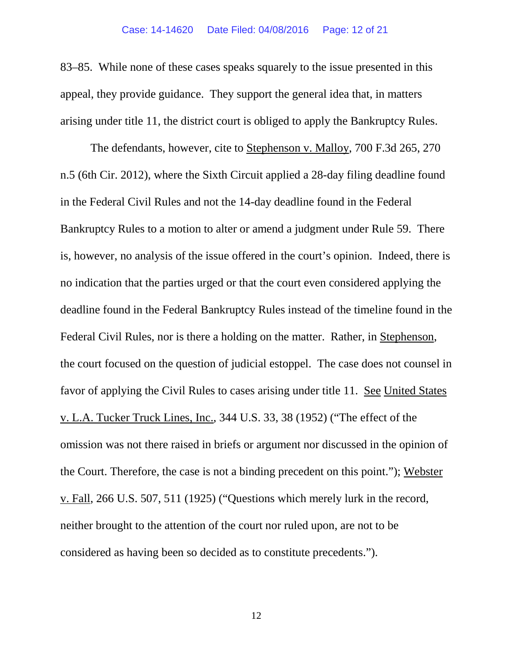83–85. While none of these cases speaks squarely to the issue presented in this appeal, they provide guidance. They support the general idea that, in matters arising under title 11, the district court is obliged to apply the Bankruptcy Rules.

The defendants, however, cite to Stephenson v. Malloy, 700 F.3d 265, 270 n.5 (6th Cir. 2012), where the Sixth Circuit applied a 28-day filing deadline found in the Federal Civil Rules and not the 14-day deadline found in the Federal Bankruptcy Rules to a motion to alter or amend a judgment under Rule 59. There is, however, no analysis of the issue offered in the court's opinion. Indeed, there is no indication that the parties urged or that the court even considered applying the deadline found in the Federal Bankruptcy Rules instead of the timeline found in the Federal Civil Rules, nor is there a holding on the matter. Rather, in Stephenson, the court focused on the question of judicial estoppel. The case does not counsel in favor of applying the Civil Rules to cases arising under title 11. See United States v. L.A. Tucker Truck Lines, Inc., 344 U.S. 33, 38 (1952) ("The effect of the omission was not there raised in briefs or argument nor discussed in the opinion of the Court. Therefore, the case is not a binding precedent on this point."); Webster v. Fall, 266 U.S. 507, 511 (1925) ("Questions which merely lurk in the record, neither brought to the attention of the court nor ruled upon, are not to be considered as having been so decided as to constitute precedents.").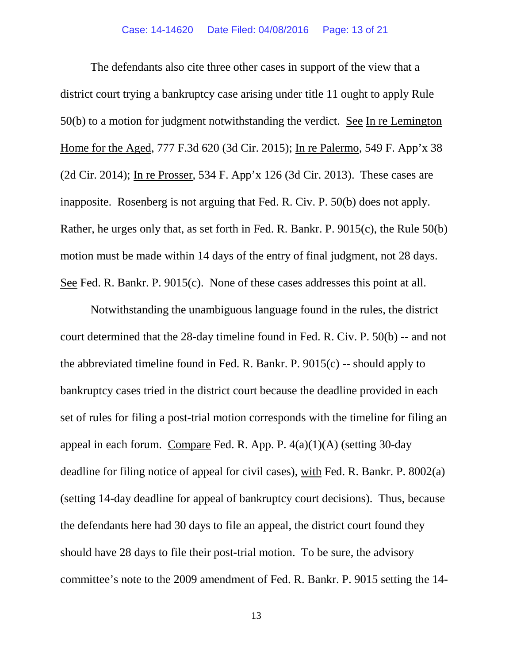The defendants also cite three other cases in support of the view that a district court trying a bankruptcy case arising under title 11 ought to apply Rule 50(b) to a motion for judgment notwithstanding the verdict. See In re Lemington Home for the Aged, 777 F.3d 620 (3d Cir. 2015); In re Palermo, 549 F. App'x 38 (2d Cir. 2014); In re Prosser, 534 F. App'x 126 (3d Cir. 2013). These cases are inapposite. Rosenberg is not arguing that Fed. R. Civ. P. 50(b) does not apply. Rather, he urges only that, as set forth in Fed. R. Bankr. P. 9015(c), the Rule 50(b) motion must be made within 14 days of the entry of final judgment, not 28 days. See Fed. R. Bankr. P. 9015(c). None of these cases addresses this point at all.

Notwithstanding the unambiguous language found in the rules, the district court determined that the 28-day timeline found in Fed. R. Civ. P. 50(b) -- and not the abbreviated timeline found in Fed. R. Bankr. P.  $9015(c)$  -- should apply to bankruptcy cases tried in the district court because the deadline provided in each set of rules for filing a post-trial motion corresponds with the timeline for filing an appeal in each forum. Compare Fed. R. App. P. 4(a)(1)(A) (setting 30-day deadline for filing notice of appeal for civil cases), with Fed. R. Bankr. P. 8002(a) (setting 14-day deadline for appeal of bankruptcy court decisions). Thus, because the defendants here had 30 days to file an appeal, the district court found they should have 28 days to file their post-trial motion. To be sure, the advisory committee's note to the 2009 amendment of Fed. R. Bankr. P. 9015 setting the 14-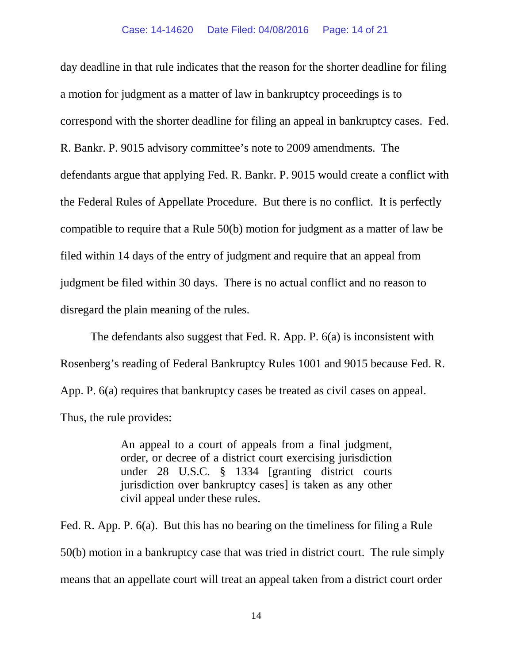day deadline in that rule indicates that the reason for the shorter deadline for filing a motion for judgment as a matter of law in bankruptcy proceedings is to correspond with the shorter deadline for filing an appeal in bankruptcy cases. Fed. R. Bankr. P. 9015 advisory committee's note to 2009 amendments. The defendants argue that applying Fed. R. Bankr. P. 9015 would create a conflict with the Federal Rules of Appellate Procedure. But there is no conflict. It is perfectly compatible to require that a Rule 50(b) motion for judgment as a matter of law be filed within 14 days of the entry of judgment and require that an appeal from judgment be filed within 30 days. There is no actual conflict and no reason to disregard the plain meaning of the rules.

The defendants also suggest that Fed. R. App. P. 6(a) is inconsistent with Rosenberg's reading of Federal Bankruptcy Rules 1001 and 9015 because Fed. R. App. P. 6(a) requires that bankruptcy cases be treated as civil cases on appeal. Thus, the rule provides:

> An appeal to a court of appeals from a final judgment, order, or decree of a district court exercising jurisdiction under 28 U.S.C. § 1334 [granting district courts jurisdiction over bankruptcy cases] is taken as any other civil appeal under these rules.

Fed. R. App. P. 6(a). But this has no bearing on the timeliness for filing a Rule 50(b) motion in a bankruptcy case that was tried in district court. The rule simply means that an appellate court will treat an appeal taken from a district court order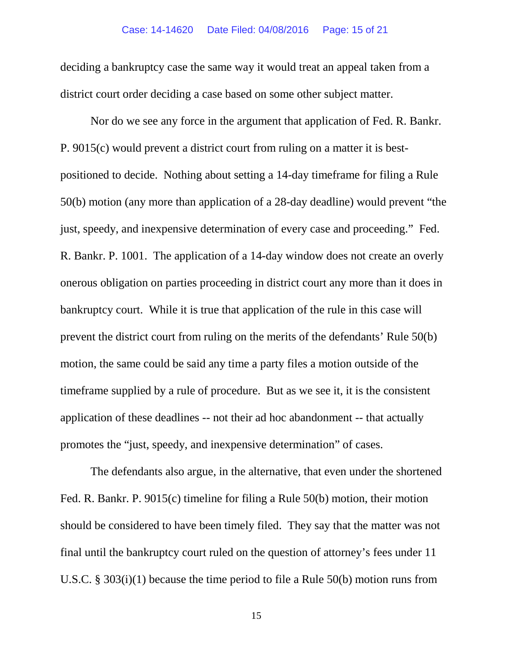deciding a bankruptcy case the same way it would treat an appeal taken from a district court order deciding a case based on some other subject matter.

Nor do we see any force in the argument that application of Fed. R. Bankr. P. 9015(c) would prevent a district court from ruling on a matter it is bestpositioned to decide. Nothing about setting a 14-day timeframe for filing a Rule 50(b) motion (any more than application of a 28-day deadline) would prevent "the just, speedy, and inexpensive determination of every case and proceeding." Fed. R. Bankr. P. 1001. The application of a 14-day window does not create an overly onerous obligation on parties proceeding in district court any more than it does in bankruptcy court. While it is true that application of the rule in this case will prevent the district court from ruling on the merits of the defendants' Rule 50(b) motion, the same could be said any time a party files a motion outside of the timeframe supplied by a rule of procedure. But as we see it, it is the consistent application of these deadlines -- not their ad hoc abandonment -- that actually promotes the "just, speedy, and inexpensive determination" of cases.

The defendants also argue, in the alternative, that even under the shortened Fed. R. Bankr. P. 9015(c) timeline for filing a Rule 50(b) motion, their motion should be considered to have been timely filed. They say that the matter was not final until the bankruptcy court ruled on the question of attorney's fees under 11 U.S.C. § 303(i)(1) because the time period to file a Rule 50(b) motion runs from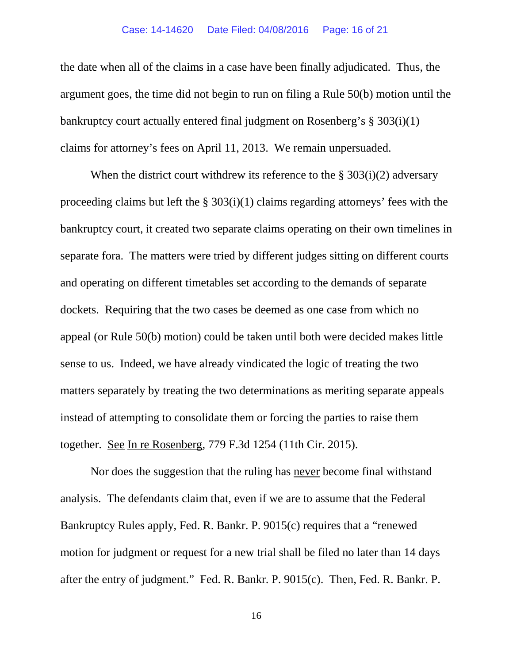#### Case: 14-14620 Date Filed: 04/08/2016 Page: 16 of 21

the date when all of the claims in a case have been finally adjudicated. Thus, the argument goes, the time did not begin to run on filing a Rule 50(b) motion until the bankruptcy court actually entered final judgment on Rosenberg's § 303(i)(1) claims for attorney's fees on April 11, 2013. We remain unpersuaded.

When the district court withdrew its reference to the  $\S 303(i)(2)$  adversary proceeding claims but left the § 303(i)(1) claims regarding attorneys' fees with the bankruptcy court, it created two separate claims operating on their own timelines in separate fora. The matters were tried by different judges sitting on different courts and operating on different timetables set according to the demands of separate dockets. Requiring that the two cases be deemed as one case from which no appeal (or Rule 50(b) motion) could be taken until both were decided makes little sense to us. Indeed, we have already vindicated the logic of treating the two matters separately by treating the two determinations as meriting separate appeals instead of attempting to consolidate them or forcing the parties to raise them together. See In re Rosenberg, 779 F.3d 1254 (11th Cir. 2015).

Nor does the suggestion that the ruling has never become final withstand analysis. The defendants claim that, even if we are to assume that the Federal Bankruptcy Rules apply, Fed. R. Bankr. P. 9015(c) requires that a "renewed motion for judgment or request for a new trial shall be filed no later than 14 days after the entry of judgment." Fed. R. Bankr. P. 9015(c). Then, Fed. R. Bankr. P.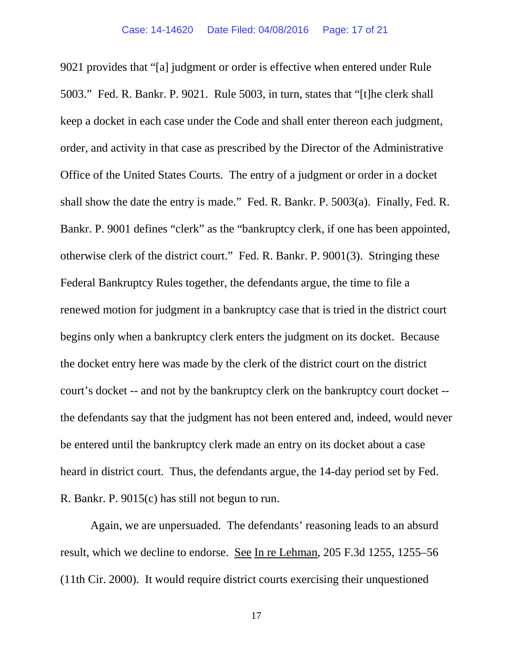9021 provides that "[a] judgment or order is effective when entered under Rule 5003." Fed. R. Bankr. P. 9021. Rule 5003, in turn, states that "[t]he clerk shall keep a docket in each case under the Code and shall enter thereon each judgment, order, and activity in that case as prescribed by the Director of the Administrative Office of the United States Courts. The entry of a judgment or order in a docket shall show the date the entry is made." Fed. R. Bankr. P. 5003(a). Finally, Fed. R. Bankr. P. 9001 defines "clerk" as the "bankruptcy clerk, if one has been appointed, otherwise clerk of the district court." Fed. R. Bankr. P. 9001(3). Stringing these Federal Bankruptcy Rules together, the defendants argue, the time to file a renewed motion for judgment in a bankruptcy case that is tried in the district court begins only when a bankruptcy clerk enters the judgment on its docket. Because the docket entry here was made by the clerk of the district court on the district court's docket -- and not by the bankruptcy clerk on the bankruptcy court docket - the defendants say that the judgment has not been entered and, indeed, would never be entered until the bankruptcy clerk made an entry on its docket about a case heard in district court. Thus, the defendants argue, the 14-day period set by Fed. R. Bankr. P. 9015(c) has still not begun to run.

Again, we are unpersuaded. The defendants' reasoning leads to an absurd result, which we decline to endorse. See In re Lehman, 205 F.3d 1255, 1255–56 (11th Cir. 2000). It would require district courts exercising their unquestioned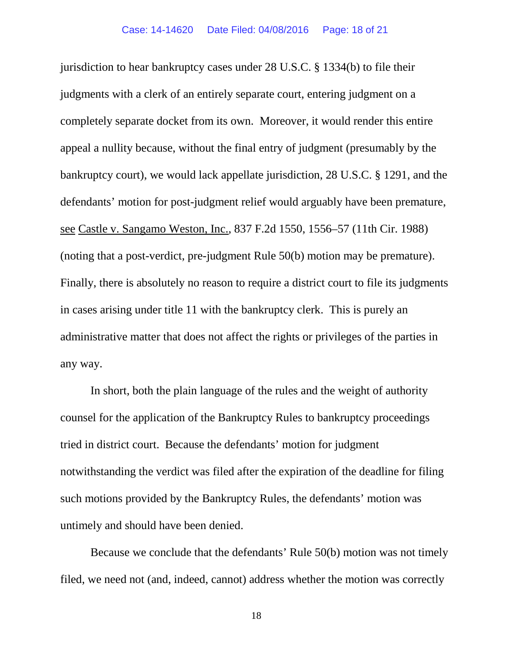jurisdiction to hear bankruptcy cases under 28 U.S.C. § 1334(b) to file their judgments with a clerk of an entirely separate court, entering judgment on a completely separate docket from its own. Moreover, it would render this entire appeal a nullity because, without the final entry of judgment (presumably by the bankruptcy court), we would lack appellate jurisdiction, 28 U.S.C. § 1291, and the defendants' motion for post-judgment relief would arguably have been premature, see Castle v. Sangamo Weston, Inc., 837 F.2d 1550, 1556–57 (11th Cir. 1988) (noting that a post-verdict, pre-judgment Rule 50(b) motion may be premature). Finally, there is absolutely no reason to require a district court to file its judgments in cases arising under title 11 with the bankruptcy clerk. This is purely an administrative matter that does not affect the rights or privileges of the parties in any way.

In short, both the plain language of the rules and the weight of authority counsel for the application of the Bankruptcy Rules to bankruptcy proceedings tried in district court. Because the defendants' motion for judgment notwithstanding the verdict was filed after the expiration of the deadline for filing such motions provided by the Bankruptcy Rules, the defendants' motion was untimely and should have been denied.

Because we conclude that the defendants' Rule 50(b) motion was not timely filed, we need not (and, indeed, cannot) address whether the motion was correctly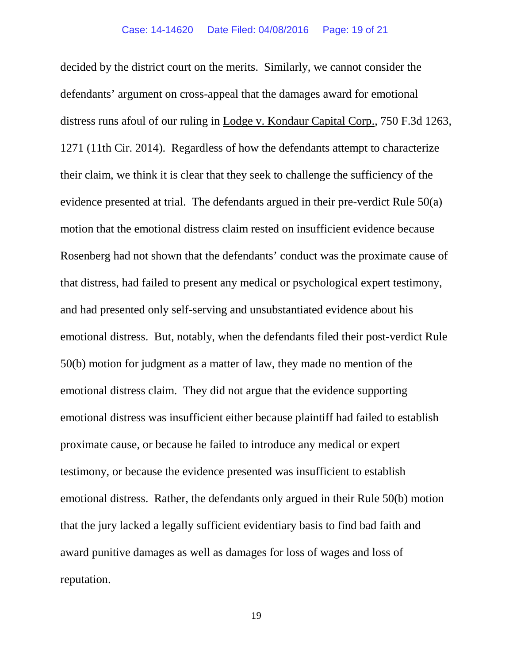decided by the district court on the merits. Similarly, we cannot consider the defendants' argument on cross-appeal that the damages award for emotional distress runs afoul of our ruling in Lodge v. Kondaur Capital Corp., 750 F.3d 1263, 1271 (11th Cir. 2014). Regardless of how the defendants attempt to characterize their claim, we think it is clear that they seek to challenge the sufficiency of the evidence presented at trial. The defendants argued in their pre-verdict Rule 50(a) motion that the emotional distress claim rested on insufficient evidence because Rosenberg had not shown that the defendants' conduct was the proximate cause of that distress, had failed to present any medical or psychological expert testimony, and had presented only self-serving and unsubstantiated evidence about his emotional distress. But, notably, when the defendants filed their post-verdict Rule 50(b) motion for judgment as a matter of law, they made no mention of the emotional distress claim. They did not argue that the evidence supporting emotional distress was insufficient either because plaintiff had failed to establish proximate cause, or because he failed to introduce any medical or expert testimony, or because the evidence presented was insufficient to establish emotional distress. Rather, the defendants only argued in their Rule 50(b) motion that the jury lacked a legally sufficient evidentiary basis to find bad faith and award punitive damages as well as damages for loss of wages and loss of reputation.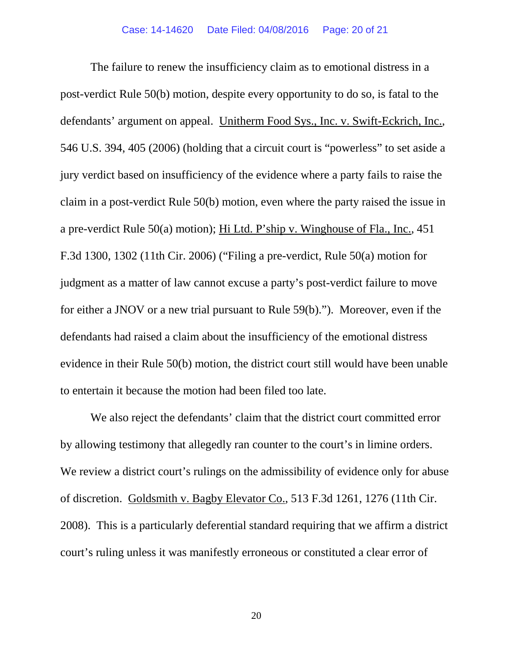The failure to renew the insufficiency claim as to emotional distress in a post-verdict Rule 50(b) motion, despite every opportunity to do so, is fatal to the defendants' argument on appeal. Unitherm Food Sys., Inc. v. Swift-Eckrich, Inc., 546 U.S. 394, 405 (2006) (holding that a circuit court is "powerless" to set aside a jury verdict based on insufficiency of the evidence where a party fails to raise the claim in a post-verdict Rule 50(b) motion, even where the party raised the issue in a pre-verdict Rule 50(a) motion); Hi Ltd. P'ship v. Winghouse of Fla., Inc., 451 F.3d 1300, 1302 (11th Cir. 2006) ("Filing a pre-verdict, Rule 50(a) motion for judgment as a matter of law cannot excuse a party's post-verdict failure to move for either a JNOV or a new trial pursuant to Rule 59(b)."). Moreover, even if the defendants had raised a claim about the insufficiency of the emotional distress evidence in their Rule 50(b) motion, the district court still would have been unable to entertain it because the motion had been filed too late.

We also reject the defendants' claim that the district court committed error by allowing testimony that allegedly ran counter to the court's in limine orders. We review a district court's rulings on the admissibility of evidence only for abuse of discretion. Goldsmith v. Bagby Elevator Co., 513 F.3d 1261, 1276 (11th Cir. 2008). This is a particularly deferential standard requiring that we affirm a district court's ruling unless it was manifestly erroneous or constituted a clear error of